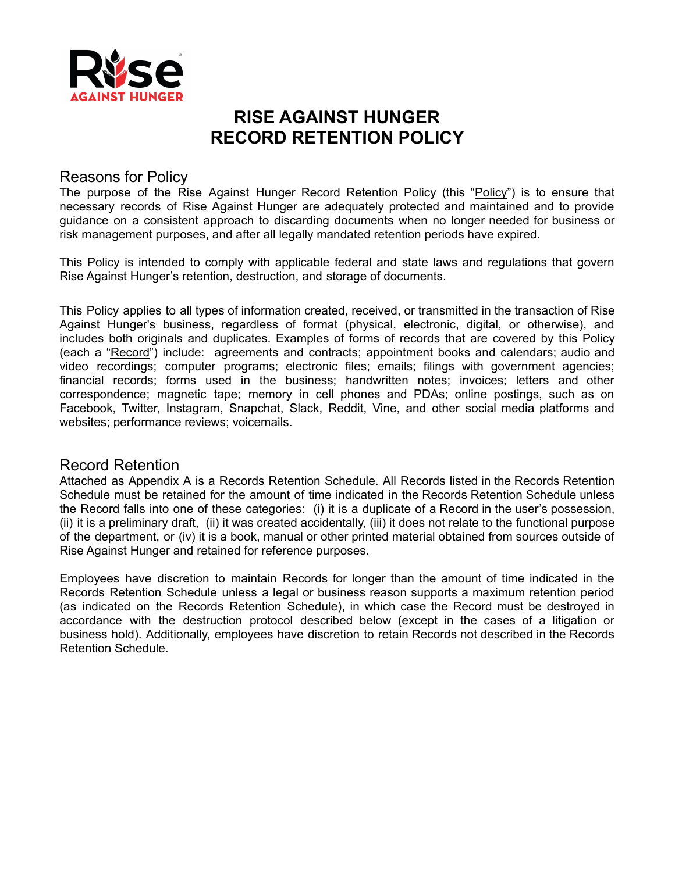

# **RISE AGAINST HUNGER RECORD RETENTION POLICY**

## Reasons for Policy

The purpose of the Rise Against Hunger Record Retention Policy (this "Policy") is to ensure that necessary records of Rise Against Hunger are adequately protected and maintained and to provide guidance on a consistent approach to discarding documents when no longer needed for business or risk management purposes, and after all legally mandated retention periods have expired.

This Policy is intended to comply with applicable federal and state laws and regulations that govern Rise Against Hunger's retention, destruction, and storage of documents.

This Policy applies to all types of information created, received, or transmitted in the transaction of Rise Against Hunger's business, regardless of format (physical, electronic, digital, or otherwise), and includes both originals and duplicates. Examples of forms of records that are covered by this Policy (each a "Record") include: agreements and contracts; appointment books and calendars; audio and video recordings; computer programs; electronic files; emails; filings with government agencies; financial records; forms used in the business; handwritten notes; invoices; letters and other correspondence; magnetic tape; memory in cell phones and PDAs; online postings, such as on Facebook, Twitter, Instagram, Snapchat, Slack, Reddit, Vine, and other social media platforms and websites; performance reviews; voicemails.

### Record Retention

Attached as Appendix A is a Records Retention Schedule. All Records listed in the Records Retention Schedule must be retained for the amount of time indicated in the Records Retention Schedule unless the Record falls into one of these categories: (i) it is a duplicate of a Record in the user's possession, (ii) it is a preliminary draft, (ii) it was created accidentally, (iii) it does not relate to the functional purpose of the department, or (iv) it is a book, manual or other printed material obtained from sources outside of Rise Against Hunger and retained for reference purposes.

Employees have discretion to maintain Records for longer than the amount of time indicated in the Records Retention Schedule unless a legal or business reason supports a maximum retention period (as indicated on the Records Retention Schedule), in which case the Record must be destroyed in accordance with the destruction protocol described below (except in the cases of a litigation or business hold). Additionally, employees have discretion to retain Records not described in the Records Retention Schedule.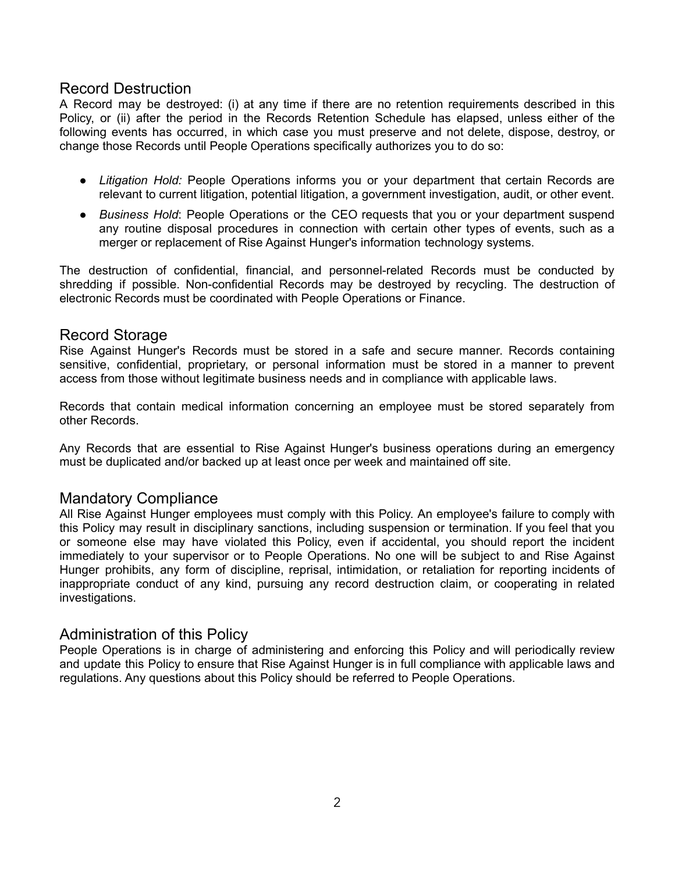## Record Destruction

A Record may be destroyed: (i) at any time if there are no retention requirements described in this Policy, or (ii) after the period in the Records Retention Schedule has elapsed, unless either of the following events has occurred, in which case you must preserve and not delete, dispose, destroy, or change those Records until People Operations specifically authorizes you to do so:

- *Litigation Hold:* People Operations informs you or your department that certain Records are relevant to current litigation, potential litigation, a government investigation, audit, or other event.
- *Business Hold*: People Operations or the CEO requests that you or your department suspend any routine disposal procedures in connection with certain other types of events, such as a merger or replacement of Rise Against Hunger's information technology systems.

The destruction of confidential, financial, and personnel-related Records must be conducted by shredding if possible. Non-confidential Records may be destroyed by recycling. The destruction of electronic Records must be coordinated with People Operations or Finance.

### Record Storage

Rise Against Hunger's Records must be stored in a safe and secure manner. Records containing sensitive, confidential, proprietary, or personal information must be stored in a manner to prevent access from those without legitimate business needs and in compliance with applicable laws.

Records that contain medical information concerning an employee must be stored separately from other Records.

Any Records that are essential to Rise Against Hunger's business operations during an emergency must be duplicated and/or backed up at least once per week and maintained off site.

## Mandatory Compliance

All Rise Against Hunger employees must comply with this Policy. An employee's failure to comply with this Policy may result in disciplinary sanctions, including suspension or termination. If you feel that you or someone else may have violated this Policy, even if accidental, you should report the incident immediately to your supervisor or to People Operations. No one will be subject to and Rise Against Hunger prohibits, any form of discipline, reprisal, intimidation, or retaliation for reporting incidents of inappropriate conduct of any kind, pursuing any record destruction claim, or cooperating in related investigations.

### Administration of this Policy

People Operations is in charge of administering and enforcing this Policy and will periodically review and update this Policy to ensure that Rise Against Hunger is in full compliance with applicable laws and regulations. Any questions about this Policy should be referred to People Operations.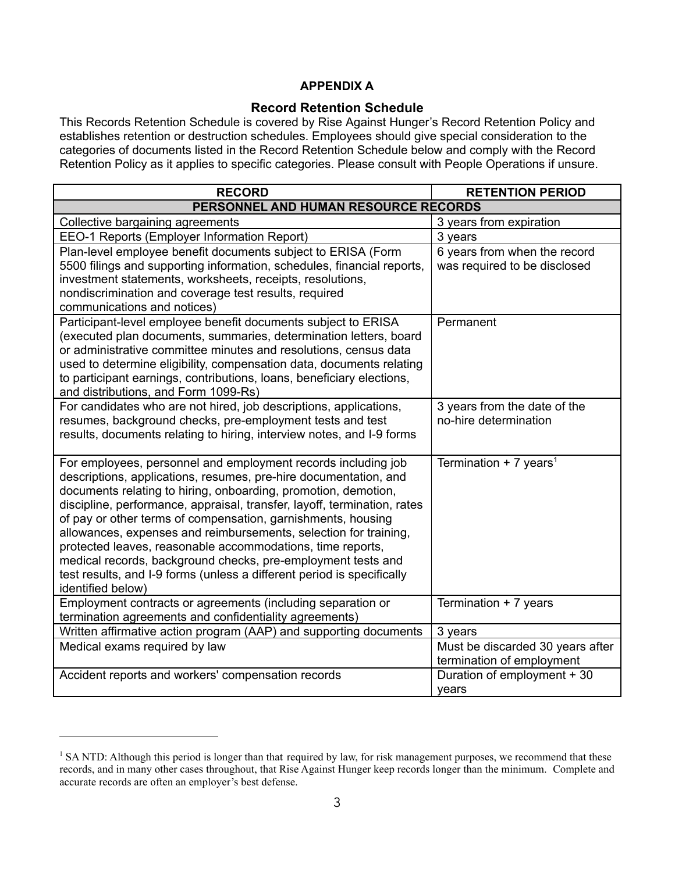## **APPENDIX A**

#### **Record Retention Schedule**

This Records Retention Schedule is covered by Rise Against Hunger's Record Retention Policy and establishes retention or destruction schedules. Employees should give special consideration to the categories of documents listed in the Record Retention Schedule below and comply with the Record Retention Policy as it applies to specific categories. Please consult with People Operations if unsure.

| <b>RECORD</b>                                                                                                                                                                                                                                                                                                                                                                                                                                                                                                                                                                                                                                    | <b>RETENTION PERIOD</b>                                       |  |
|--------------------------------------------------------------------------------------------------------------------------------------------------------------------------------------------------------------------------------------------------------------------------------------------------------------------------------------------------------------------------------------------------------------------------------------------------------------------------------------------------------------------------------------------------------------------------------------------------------------------------------------------------|---------------------------------------------------------------|--|
| PERSONNEL AND HUMAN RESOURCE RECORDS                                                                                                                                                                                                                                                                                                                                                                                                                                                                                                                                                                                                             |                                                               |  |
| Collective bargaining agreements                                                                                                                                                                                                                                                                                                                                                                                                                                                                                                                                                                                                                 | 3 years from expiration                                       |  |
| EEO-1 Reports (Employer Information Report)                                                                                                                                                                                                                                                                                                                                                                                                                                                                                                                                                                                                      | 3 years                                                       |  |
| Plan-level employee benefit documents subject to ERISA (Form<br>5500 filings and supporting information, schedules, financial reports,<br>investment statements, worksheets, receipts, resolutions,<br>nondiscrimination and coverage test results, required<br>communications and notices)                                                                                                                                                                                                                                                                                                                                                      | 6 years from when the record<br>was required to be disclosed  |  |
| Participant-level employee benefit documents subject to ERISA<br>(executed plan documents, summaries, determination letters, board<br>or administrative committee minutes and resolutions, census data<br>used to determine eligibility, compensation data, documents relating<br>to participant earnings, contributions, loans, beneficiary elections,<br>and distributions, and Form 1099-Rs)                                                                                                                                                                                                                                                  | Permanent                                                     |  |
| For candidates who are not hired, job descriptions, applications,<br>resumes, background checks, pre-employment tests and test<br>results, documents relating to hiring, interview notes, and I-9 forms                                                                                                                                                                                                                                                                                                                                                                                                                                          | 3 years from the date of the<br>no-hire determination         |  |
| For employees, personnel and employment records including job<br>descriptions, applications, resumes, pre-hire documentation, and<br>documents relating to hiring, onboarding, promotion, demotion,<br>discipline, performance, appraisal, transfer, layoff, termination, rates<br>of pay or other terms of compensation, garnishments, housing<br>allowances, expenses and reimbursements, selection for training,<br>protected leaves, reasonable accommodations, time reports,<br>medical records, background checks, pre-employment tests and<br>test results, and I-9 forms (unless a different period is specifically<br>identified below) | Termination + 7 years <sup>1</sup>                            |  |
| Employment contracts or agreements (including separation or<br>termination agreements and confidentiality agreements)                                                                                                                                                                                                                                                                                                                                                                                                                                                                                                                            | Termination + 7 years                                         |  |
| Written affirmative action program (AAP) and supporting documents                                                                                                                                                                                                                                                                                                                                                                                                                                                                                                                                                                                | 3 years                                                       |  |
| Medical exams required by law                                                                                                                                                                                                                                                                                                                                                                                                                                                                                                                                                                                                                    | Must be discarded 30 years after<br>termination of employment |  |
| Accident reports and workers' compensation records                                                                                                                                                                                                                                                                                                                                                                                                                                                                                                                                                                                               | Duration of employment + 30<br>years                          |  |

<sup>&</sup>lt;sup>1</sup> SA NTD: Although this period is longer than that required by law, for risk management purposes, we recommend that these records, and in many other cases throughout, that Rise Against Hunger keep records longer than the minimum. Complete and accurate records are often an employer's best defense.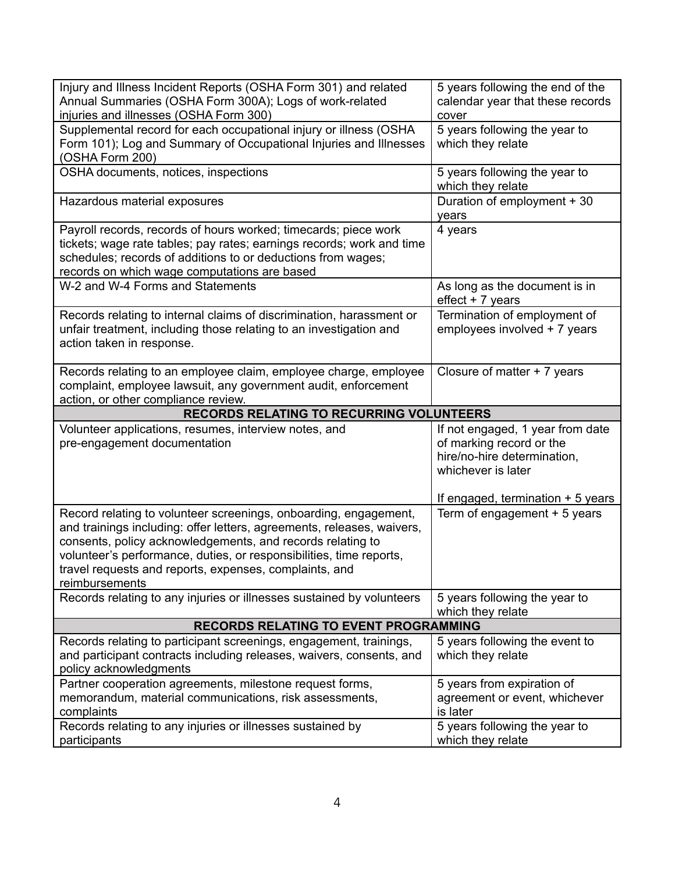| Injury and Illness Incident Reports (OSHA Form 301) and related<br>Annual Summaries (OSHA Form 300A); Logs of work-related                                                                                                                                                              | 5 years following the end of the<br>calendar year that these records                                                                                    |
|-----------------------------------------------------------------------------------------------------------------------------------------------------------------------------------------------------------------------------------------------------------------------------------------|---------------------------------------------------------------------------------------------------------------------------------------------------------|
| injuries and illnesses (OSHA Form 300)                                                                                                                                                                                                                                                  | cover                                                                                                                                                   |
| Supplemental record for each occupational injury or illness (OSHA<br>Form 101); Log and Summary of Occupational Injuries and Illnesses<br>(OSHA Form 200)                                                                                                                               | 5 years following the year to<br>which they relate                                                                                                      |
| OSHA documents, notices, inspections                                                                                                                                                                                                                                                    | 5 years following the year to<br>which they relate                                                                                                      |
| Hazardous material exposures                                                                                                                                                                                                                                                            | Duration of employment + 30<br>years                                                                                                                    |
| Payroll records, records of hours worked; timecards; piece work<br>tickets; wage rate tables; pay rates; earnings records; work and time<br>schedules; records of additions to or deductions from wages;<br>records on which wage computations are based                                | 4 years                                                                                                                                                 |
| W-2 and W-4 Forms and Statements                                                                                                                                                                                                                                                        | As long as the document is in<br>effect + 7 years                                                                                                       |
| Records relating to internal claims of discrimination, harassment or<br>unfair treatment, including those relating to an investigation and<br>action taken in response.                                                                                                                 | Termination of employment of<br>employees involved + 7 years                                                                                            |
| Records relating to an employee claim, employee charge, employee<br>complaint, employee lawsuit, any government audit, enforcement<br>action, or other compliance review.                                                                                                               | Closure of matter $+ 7$ years                                                                                                                           |
| RECORDS RELATING TO RECURRING VOLUNTEERS                                                                                                                                                                                                                                                |                                                                                                                                                         |
| Volunteer applications, resumes, interview notes, and<br>pre-engagement documentation                                                                                                                                                                                                   | If not engaged, 1 year from date<br>of marking record or the<br>hire/no-hire determination,<br>whichever is later<br>If engaged, termination $+5$ years |
| Record relating to volunteer screenings, onboarding, engagement,                                                                                                                                                                                                                        | Term of engagement $+5$ years                                                                                                                           |
| and trainings including: offer letters, agreements, releases, waivers,<br>consents, policy acknowledgements, and records relating to<br>volunteer's performance, duties, or responsibilities, time reports,<br>travel requests and reports, expenses, complaints, and<br>reimbursements |                                                                                                                                                         |
| Records relating to any injuries or illnesses sustained by volunteers                                                                                                                                                                                                                   | 5 years following the year to<br>which they relate                                                                                                      |
| <b>RECORDS RELATING TO EVENT PROGRAMMING</b>                                                                                                                                                                                                                                            |                                                                                                                                                         |
| Records relating to participant screenings, engagement, trainings,<br>and participant contracts including releases, waivers, consents, and<br>policy acknowledgments                                                                                                                    | 5 years following the event to<br>which they relate                                                                                                     |
| Partner cooperation agreements, milestone request forms,<br>memorandum, material communications, risk assessments,<br>complaints<br>Records relating to any injuries or illnesses sustained by                                                                                          | 5 years from expiration of<br>agreement or event, whichever<br>is later<br>5 years following the year to                                                |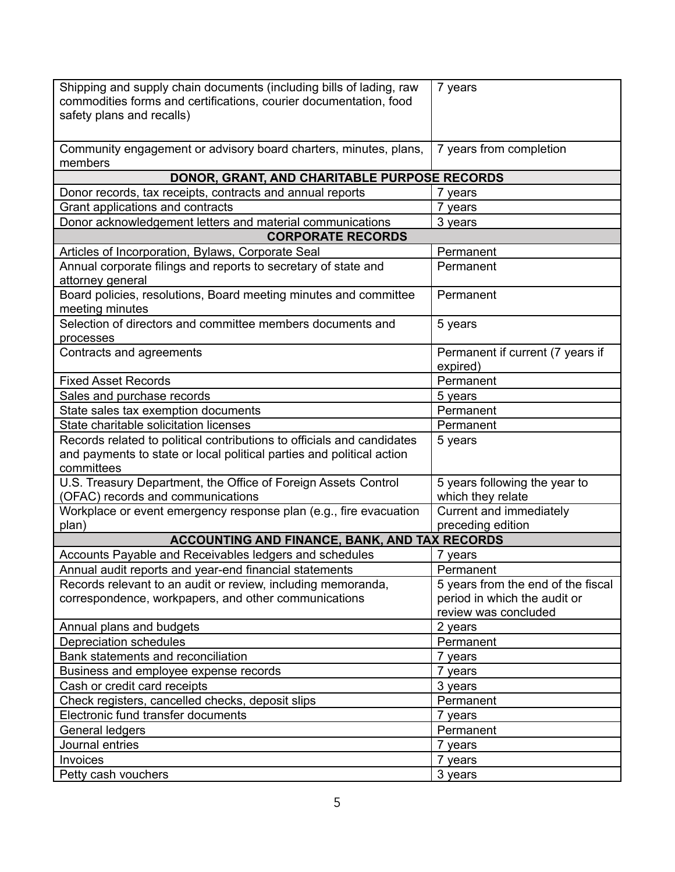| Shipping and supply chain documents (including bills of lading, raw<br>commodities forms and certifications, courier documentation, food<br>safety plans and recalls) | 7 years                                         |  |
|-----------------------------------------------------------------------------------------------------------------------------------------------------------------------|-------------------------------------------------|--|
| Community engagement or advisory board charters, minutes, plans,<br>members                                                                                           | 7 years from completion                         |  |
| DONOR, GRANT, AND CHARITABLE PURPOSE RECORDS                                                                                                                          |                                                 |  |
| Donor records, tax receipts, contracts and annual reports                                                                                                             | 7 years                                         |  |
| Grant applications and contracts                                                                                                                                      | 7 years                                         |  |
| Donor acknowledgement letters and material communications                                                                                                             | 3 years                                         |  |
| <b>CORPORATE RECORDS</b>                                                                                                                                              |                                                 |  |
| Articles of Incorporation, Bylaws, Corporate Seal                                                                                                                     | Permanent                                       |  |
| Annual corporate filings and reports to secretary of state and<br>attorney general                                                                                    | Permanent                                       |  |
| Board policies, resolutions, Board meeting minutes and committee<br>meeting minutes                                                                                   | Permanent                                       |  |
| Selection of directors and committee members documents and<br>processes                                                                                               | 5 years                                         |  |
| Contracts and agreements                                                                                                                                              | Permanent if current (7 years if<br>expired)    |  |
| <b>Fixed Asset Records</b>                                                                                                                                            | Permanent                                       |  |
| Sales and purchase records                                                                                                                                            | 5 years                                         |  |
| State sales tax exemption documents                                                                                                                                   | Permanent                                       |  |
| State charitable solicitation licenses                                                                                                                                | Permanent                                       |  |
| Records related to political contributions to officials and candidates<br>and payments to state or local political parties and political action<br>committees         | 5 years                                         |  |
| U.S. Treasury Department, the Office of Foreign Assets Control                                                                                                        | 5 years following the year to                   |  |
| (OFAC) records and communications                                                                                                                                     | which they relate                               |  |
| Workplace or event emergency response plan (e.g., fire evacuation                                                                                                     | Current and immediately                         |  |
| plan)                                                                                                                                                                 | preceding edition                               |  |
| ACCOUNTING AND FINANCE, BANK, AND TAX RECORDS                                                                                                                         |                                                 |  |
| Accounts Payable and Receivables ledgers and schedules                                                                                                                | 7 years                                         |  |
| Annual audit reports and year-end financial statements<br>Records relevant to an audit or review, including memoranda,                                                | Permanent<br>5 years from the end of the fiscal |  |
| correspondence, workpapers, and other communications                                                                                                                  | period in which the audit or                    |  |
|                                                                                                                                                                       | review was concluded                            |  |
| Annual plans and budgets                                                                                                                                              | 2 years                                         |  |
| Depreciation schedules                                                                                                                                                | Permanent                                       |  |
| Bank statements and reconciliation                                                                                                                                    | 7 years                                         |  |
| Business and employee expense records                                                                                                                                 | 7 years                                         |  |
| Cash or credit card receipts                                                                                                                                          | 3 years                                         |  |
| Check registers, cancelled checks, deposit slips                                                                                                                      | Permanent                                       |  |
| Electronic fund transfer documents                                                                                                                                    | 7 years                                         |  |
| General ledgers                                                                                                                                                       | Permanent                                       |  |
| Journal entries                                                                                                                                                       | 7 years                                         |  |
| Invoices                                                                                                                                                              | 7 years                                         |  |
| Petty cash vouchers                                                                                                                                                   | 3 years                                         |  |